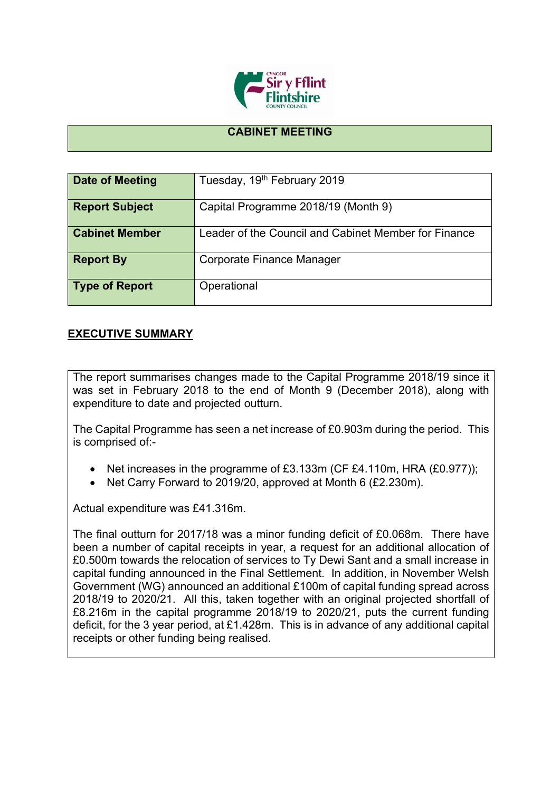

## **CABINET MEETING**

| Date of Meeting       | Tuesday, 19 <sup>th</sup> February 2019              |
|-----------------------|------------------------------------------------------|
| <b>Report Subject</b> | Capital Programme 2018/19 (Month 9)                  |
| <b>Cabinet Member</b> | Leader of the Council and Cabinet Member for Finance |
| <b>Report By</b>      | Corporate Finance Manager                            |
| <b>Type of Report</b> | Operational                                          |

## **EXECUTIVE SUMMARY**

The report summarises changes made to the Capital Programme 2018/19 since it was set in February 2018 to the end of Month 9 (December 2018), along with expenditure to date and projected outturn.

The Capital Programme has seen a net increase of £0.903m during the period. This is comprised of:-

- Net increases in the programme of £3.133m (CF £4.110m, HRA (£0.977));
- Net Carry Forward to 2019/20, approved at Month 6 (£2.230m).

Actual expenditure was £41.316m.

The final outturn for 2017/18 was a minor funding deficit of £0.068m. There have been a number of capital receipts in year, a request for an additional allocation of £0.500m towards the relocation of services to Ty Dewi Sant and a small increase in capital funding announced in the Final Settlement. In addition, in November Welsh Government (WG) announced an additional £100m of capital funding spread across 2018/19 to 2020/21. All this, taken together with an original projected shortfall of £8.216m in the capital programme 2018/19 to 2020/21, puts the current funding deficit, for the 3 year period, at £1.428m. This is in advance of any additional capital receipts or other funding being realised.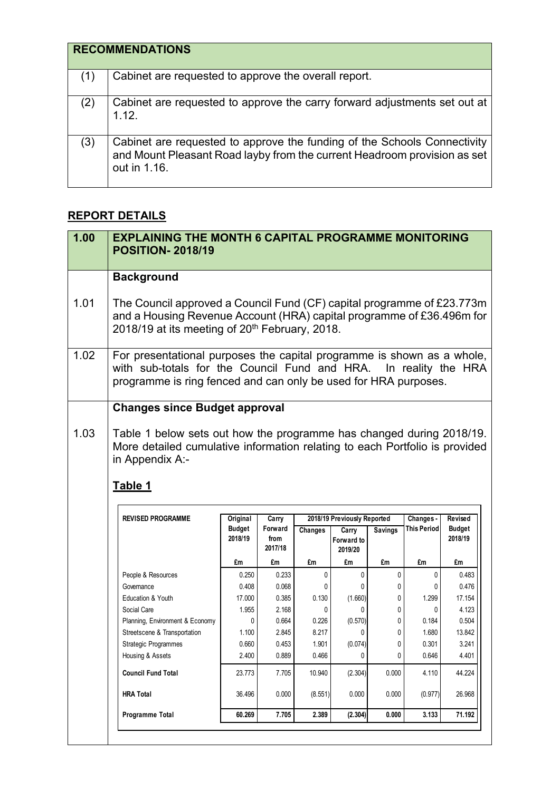|     | <b>RECOMMENDATIONS</b>                                                                                                                                               |
|-----|----------------------------------------------------------------------------------------------------------------------------------------------------------------------|
| (1) | Cabinet are requested to approve the overall report.                                                                                                                 |
| (2) | Cabinet are requested to approve the carry forward adjustments set out at<br>1.12.                                                                                   |
| (3) | Cabinet are requested to approve the funding of the Schools Connectivity<br>and Mount Pleasant Road layby from the current Headroom provision as set<br>out in 1.16. |

## **REPORT DETAILS**

| 1.00 | <b>EXPLAINING THE MONTH 6 CAPITAL PROGRAMME MONITORING</b><br><b>POSITION-2018/19</b>                                                                                                                         |               |                 |         |                             |                |             |               |
|------|---------------------------------------------------------------------------------------------------------------------------------------------------------------------------------------------------------------|---------------|-----------------|---------|-----------------------------|----------------|-------------|---------------|
|      | <b>Background</b>                                                                                                                                                                                             |               |                 |         |                             |                |             |               |
| 1.01 | The Council approved a Council Fund (CF) capital programme of £23.773m<br>and a Housing Revenue Account (HRA) capital programme of £36.496m for<br>2018/19 at its meeting of 20 <sup>th</sup> February, 2018. |               |                 |         |                             |                |             |               |
| 1.02 | For presentational purposes the capital programme is shown as a whole,<br>with sub-totals for the Council Fund and HRA. In reality the HRA<br>programme is ring fenced and can only be used for HRA purposes. |               |                 |         |                             |                |             |               |
|      | <b>Changes since Budget approval</b>                                                                                                                                                                          |               |                 |         |                             |                |             |               |
| 1.03 | Table 1 below sets out how the programme has changed during 2018/19.<br>More detailed cumulative information relating to each Portfolio is provided<br>in Appendix A:-<br>Table 1<br><b>REVISED PROGRAMME</b> | Original      | Carry           |         | 2018/19 Previously Reported |                | Changes -   | Revised       |
|      |                                                                                                                                                                                                               | <b>Budget</b> | Forward         | Changes | Carry                       | <b>Savings</b> | This Period | <b>Budget</b> |
|      |                                                                                                                                                                                                               | 2018/19       | from<br>2017/18 |         | Forward to<br>2019/20       |                |             | 2018/19       |
|      |                                                                                                                                                                                                               | £m            | £m              | £m      | £m                          | £m             | £m          | £m            |
|      | People & Resources                                                                                                                                                                                            | 0.250         | 0.233           | 0       | 0                           | $\mathbf{0}$   | 0           | 0.483         |
|      | Governance                                                                                                                                                                                                    | 0.408         | 0.068           | 0       | 0                           | 0              | 0           | 0.476         |
|      | Education & Youth                                                                                                                                                                                             | 17.000        | 0.385           | 0.130   | (1.660)                     | 0              | 1.299       | 17.154        |
|      | Social Care                                                                                                                                                                                                   | 1.955         | 2.168           | 0       | 0                           | 0              | 0           | 4.123         |
|      | Planning, Environment & Economy                                                                                                                                                                               | 0             | 0.664           | 0.226   | (0.570)                     | 0              | 0.184       | 0.504         |
|      | Streetscene & Transportation                                                                                                                                                                                  | 1.100         | 2.845           | 8.217   | 0                           | 0              | 1.680       | 13.842        |
|      | <b>Strategic Programmes</b>                                                                                                                                                                                   | 0.660         | 0.453           | 1.901   | (0.074)                     | 0              | 0.301       | 3.241         |
|      | Housing & Assets                                                                                                                                                                                              | 2.400         | 0.889           | 0.466   | 0                           | 0              | 0.646       | 4.401         |
|      | <b>Council Fund Total</b>                                                                                                                                                                                     | 23.773        | 7.705           | 10.940  | (2.304)                     | 0.000          | 4.110       | 44.224        |
|      | <b>HRA Total</b>                                                                                                                                                                                              | 36.496        | 0.000           | (8.551) | 0.000                       | 0.000          | (0.977)     | 26.968        |
|      | Programme Total                                                                                                                                                                                               | 60.269        | 7.705           | 2.389   | (2.304)                     | 0.000          | 3.133       | 71.192        |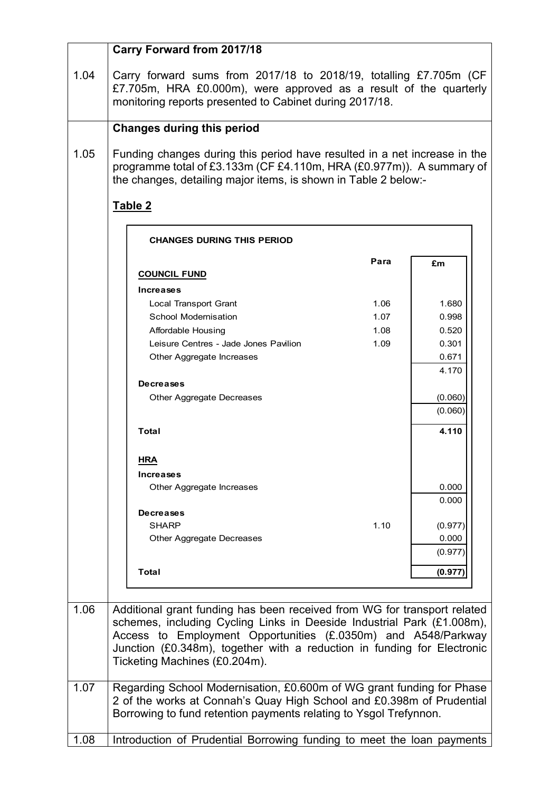|      | <b>Carry Forward from 2017/18</b>                                                                                                                                                                                                                   |              |                             |
|------|-----------------------------------------------------------------------------------------------------------------------------------------------------------------------------------------------------------------------------------------------------|--------------|-----------------------------|
| 1.04 | Carry forward sums from 2017/18 to 2018/19, totalling £7.705m (CF<br>£7.705m, HRA £0.000m), were approved as a result of the quarterly<br>monitoring reports presented to Cabinet during 2017/18.                                                   |              |                             |
|      | <b>Changes during this period</b>                                                                                                                                                                                                                   |              |                             |
| 1.05 | Funding changes during this period have resulted in a net increase in the<br>programme total of £3.133m (CF £4.110m, HRA (£0.977m)). A summary of<br>the changes, detailing major items, is shown in Table 2 below:-                                |              |                             |
|      | Table 2                                                                                                                                                                                                                                             |              |                             |
|      | <b>CHANGES DURING THIS PERIOD</b>                                                                                                                                                                                                                   |              |                             |
|      | <b>COUNCIL FUND</b>                                                                                                                                                                                                                                 | Para         | £m                          |
|      | Increases<br><b>Local Transport Grant</b>                                                                                                                                                                                                           | 1.06         | 1.680                       |
|      | School Modernisation<br>Affordable Housing                                                                                                                                                                                                          | 1.07<br>1.08 | 0.998<br>0.520              |
|      | Leisure Centres - Jade Jones Pavilion<br>Other Aggregate Increases                                                                                                                                                                                  | 1.09         | 0.301<br>0.671<br>4.170     |
|      | <b>Decreases</b>                                                                                                                                                                                                                                    |              | (0.060)                     |
|      | Other Aggregate Decreases                                                                                                                                                                                                                           |              | (0.060)                     |
|      | <b>Total</b>                                                                                                                                                                                                                                        |              | 4.110                       |
|      | HRA<br>Increases                                                                                                                                                                                                                                    |              |                             |
|      | Other Aggregate Increases                                                                                                                                                                                                                           |              | 0.000<br>0.000              |
|      | <b>Decreases</b><br><b>SHARP</b><br>Other Aggregate Decreases                                                                                                                                                                                       | 1.10         | (0.977)<br>0.000<br>(0.977) |
|      | <b>Total</b>                                                                                                                                                                                                                                        |              | (0.977)                     |
| 1.06 | Additional grant funding has been received from WG for transport related                                                                                                                                                                            |              |                             |
|      | schemes, including Cycling Links in Deeside Industrial Park (£1.008m),<br>Access to Employment Opportunities (£.0350m) and A548/Parkway<br>Junction (£0.348m), together with a reduction in funding for Electronic<br>Ticketing Machines (£0.204m). |              |                             |
| 1.07 | Regarding School Modernisation, £0.600m of WG grant funding for Phase<br>2 of the works at Connah's Quay High School and £0.398m of Prudential<br>Borrowing to fund retention payments relating to Ysgol Trefynnon.                                 |              |                             |
| 1.08 | Introduction of Prudential Borrowing funding to meet the loan payments                                                                                                                                                                              |              |                             |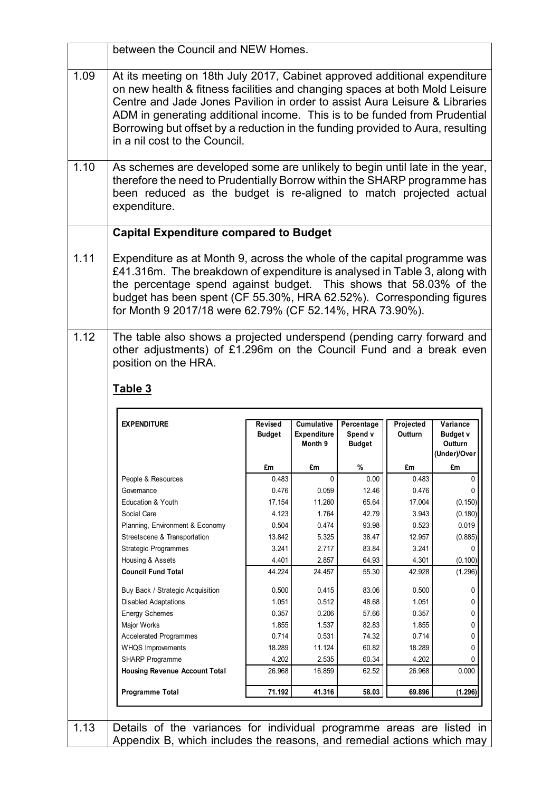|      | between the Council and NEW Homes.                                                                                                                                                                                                                                                                                                                                                                                                     |                          |                                  |                       |                      |                             |  |
|------|----------------------------------------------------------------------------------------------------------------------------------------------------------------------------------------------------------------------------------------------------------------------------------------------------------------------------------------------------------------------------------------------------------------------------------------|--------------------------|----------------------------------|-----------------------|----------------------|-----------------------------|--|
| 1.09 | At its meeting on 18th July 2017, Cabinet approved additional expenditure<br>on new health & fitness facilities and changing spaces at both Mold Leisure<br>Centre and Jade Jones Pavilion in order to assist Aura Leisure & Libraries<br>ADM in generating additional income. This is to be funded from Prudential<br>Borrowing but offset by a reduction in the funding provided to Aura, resulting<br>in a nil cost to the Council. |                          |                                  |                       |                      |                             |  |
| 1.10 | As schemes are developed some are unlikely to begin until late in the year,<br>therefore the need to Prudentially Borrow within the SHARP programme has<br>been reduced as the budget is re-aligned to match projected actual<br>expenditure.                                                                                                                                                                                          |                          |                                  |                       |                      |                             |  |
|      | <b>Capital Expenditure compared to Budget</b>                                                                                                                                                                                                                                                                                                                                                                                          |                          |                                  |                       |                      |                             |  |
| 1.11 | Expenditure as at Month 9, across the whole of the capital programme was<br>£41.316m. The breakdown of expenditure is analysed in Table 3, along with<br>the percentage spend against budget. This shows that 58.03% of the<br>budget has been spent (CF 55.30%, HRA 62.52%). Corresponding figures<br>for Month 9 2017/18 were 62.79% (CF 52.14%, HRA 73.90%).                                                                        |                          |                                  |                       |                      |                             |  |
|      | other adjustments) of £1.296m on the Council Fund and a break even<br>position on the HRA.<br>Table 3                                                                                                                                                                                                                                                                                                                                  |                          |                                  |                       |                      |                             |  |
|      | <b>EXPENDITURE</b>                                                                                                                                                                                                                                                                                                                                                                                                                     | Revised<br><b>Budget</b> | Cumulative<br><b>Expenditure</b> | Percentage<br>Spend v | Projected<br>Outturn | Variance<br><b>Budget v</b> |  |
|      |                                                                                                                                                                                                                                                                                                                                                                                                                                        |                          | Month 9                          | <b>Budget</b>         |                      | Outturn<br>(Under)/Over     |  |
|      |                                                                                                                                                                                                                                                                                                                                                                                                                                        | £m                       | £m                               | %                     | £m                   | £m                          |  |
|      | People & Resources                                                                                                                                                                                                                                                                                                                                                                                                                     | 0.483                    | $\mathbf{0}$                     | 0.00                  | 0.483                | 0                           |  |
|      | Governance                                                                                                                                                                                                                                                                                                                                                                                                                             | 0.476                    | 0.059                            | 12.46                 | 0.476                | 0                           |  |
|      | <b>Education &amp; Youth</b>                                                                                                                                                                                                                                                                                                                                                                                                           | 17.154                   | 11.260                           | 65.64                 | 17.004               | (0.150)                     |  |
|      | Social Care                                                                                                                                                                                                                                                                                                                                                                                                                            | 4.123                    | 1.764                            | 42.79                 | 3.943                | (0.180)                     |  |
|      | Planning, Environment & Economy                                                                                                                                                                                                                                                                                                                                                                                                        | 0.504                    | 0.474                            | 93.98                 | 0.523                | 0.019                       |  |
|      | Streetscene & Transportation                                                                                                                                                                                                                                                                                                                                                                                                           | 13.842                   | 5.325                            | 38.47                 | 12.957               | (0.885)                     |  |
|      | <b>Strategic Programmes</b>                                                                                                                                                                                                                                                                                                                                                                                                            | 3.241                    | 2.717                            | 83.84                 | 3.241                | 0                           |  |
|      | Housing & Assets<br><b>Council Fund Total</b>                                                                                                                                                                                                                                                                                                                                                                                          | 4.401<br>44.224          | 2.857<br>24.457                  | 64.93<br>55.30        | 4.301<br>42.928      | (0.100)<br>(1.296)          |  |
|      |                                                                                                                                                                                                                                                                                                                                                                                                                                        |                          |                                  |                       |                      |                             |  |
|      | Buy Back / Strategic Acquisition                                                                                                                                                                                                                                                                                                                                                                                                       | 0.500                    | 0.415                            | 83.06                 | 0.500                | 0                           |  |
|      | <b>Disabled Adaptations</b>                                                                                                                                                                                                                                                                                                                                                                                                            | 1.051                    | 0.512                            | 48.68                 | 1.051                | 0                           |  |
|      | <b>Energy Schemes</b>                                                                                                                                                                                                                                                                                                                                                                                                                  | 0.357                    | 0.206                            | 57.66                 | 0.357                | 0<br>0                      |  |
|      | Major Works<br><b>Accelerated Programmes</b>                                                                                                                                                                                                                                                                                                                                                                                           | 1.855<br>0.714           | 1.537<br>0.531                   | 82.83<br>74.32        | 1.855<br>0.714       | 0                           |  |
|      | WHQS Improvements                                                                                                                                                                                                                                                                                                                                                                                                                      | 18.289                   | 11.124                           | 60.82                 | 18.289               | 0                           |  |
|      | SHARP Programme                                                                                                                                                                                                                                                                                                                                                                                                                        | 4.202                    | 2.535                            | 60.34                 | 4.202                |                             |  |
|      | <b>Housing Revenue Account Total</b>                                                                                                                                                                                                                                                                                                                                                                                                   | 26.968                   | 16.859                           | 62.52                 | 26.968               | 0.000                       |  |
|      | Programme Total                                                                                                                                                                                                                                                                                                                                                                                                                        | 71.192                   | 41.316                           | 58.03                 | 69.896               | (1.296)                     |  |
|      |                                                                                                                                                                                                                                                                                                                                                                                                                                        |                          |                                  |                       |                      |                             |  |
| 1.13 | Details of the variances for individual programme areas are listed in                                                                                                                                                                                                                                                                                                                                                                  |                          |                                  |                       |                      |                             |  |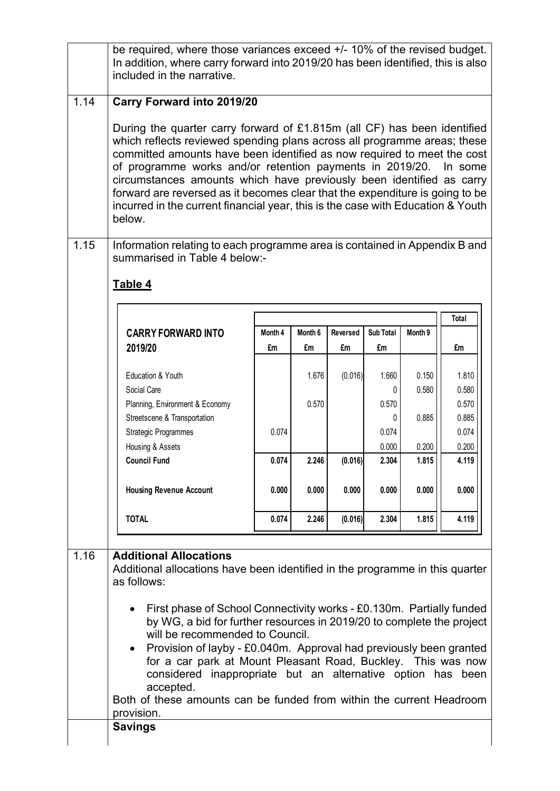|      | be required, where those variances exceed +/- 10% of the revised budget.<br>In addition, where carry forward into 2019/20 has been identified, this is also<br>included in the narrative.                                                                                                                                                                                                                                                                                                                                                                                                                                                  |         |                |          |                                       |                                  |                                                    |  |
|------|--------------------------------------------------------------------------------------------------------------------------------------------------------------------------------------------------------------------------------------------------------------------------------------------------------------------------------------------------------------------------------------------------------------------------------------------------------------------------------------------------------------------------------------------------------------------------------------------------------------------------------------------|---------|----------------|----------|---------------------------------------|----------------------------------|----------------------------------------------------|--|
| 1.14 | <b>Carry Forward into 2019/20</b><br>During the quarter carry forward of £1.815m (all CF) has been identified<br>which reflects reviewed spending plans across all programme areas; these<br>committed amounts have been identified as now required to meet the cost<br>of programme works and/or retention payments in 2019/20.<br>In some<br>circumstances amounts which have previously been identified as carry<br>forward are reversed as it becomes clear that the expenditure is going to be<br>incurred in the current financial year, this is the case with Education & Youth<br>below.                                           |         |                |          |                                       |                                  |                                                    |  |
| 1.15 | Information relating to each programme area is contained in Appendix B and<br>summarised in Table 4 below:-<br>Table 4                                                                                                                                                                                                                                                                                                                                                                                                                                                                                                                     |         |                |          |                                       |                                  |                                                    |  |
|      |                                                                                                                                                                                                                                                                                                                                                                                                                                                                                                                                                                                                                                            |         |                |          |                                       |                                  | <b>Total</b>                                       |  |
|      | <b>CARRY FORWARD INTO</b>                                                                                                                                                                                                                                                                                                                                                                                                                                                                                                                                                                                                                  | Month 4 | Month 6        | Reversed | Sub Total                             | Month 9                          |                                                    |  |
|      | 2019/20                                                                                                                                                                                                                                                                                                                                                                                                                                                                                                                                                                                                                                    | £m      | £m             | £m       | £m                                    |                                  | £m                                                 |  |
|      | Education & Youth<br>Social Care<br>Planning, Environment & Economy<br>Streetscene & Transportation<br><b>Strategic Programmes</b><br>Housing & Assets                                                                                                                                                                                                                                                                                                                                                                                                                                                                                     | 0.074   | 1.676<br>0.570 | (0.016)  | 1.660<br>0.570<br>0<br>0.074<br>0.000 | 0.150<br>0.580<br>0.885<br>0.200 | 1.810<br>0.580<br>0.570<br>0.885<br>0.074<br>0.200 |  |
|      | <b>Council Fund</b>                                                                                                                                                                                                                                                                                                                                                                                                                                                                                                                                                                                                                        | 0.074   | 2.246          | (0.016)  | 2.304                                 | 1.815                            | 4.119                                              |  |
|      | <b>Housing Revenue Account</b>                                                                                                                                                                                                                                                                                                                                                                                                                                                                                                                                                                                                             | 0.000   | 0.000          | 0.000    | 0.000                                 | 0.000                            | 0.000                                              |  |
|      | <b>TOTAL</b>                                                                                                                                                                                                                                                                                                                                                                                                                                                                                                                                                                                                                               | 0.074   | 2.246          | (0.016)  | 2.304                                 | 1.815                            | 4.119                                              |  |
| 1.16 | <b>Additional Allocations</b><br>Additional allocations have been identified in the programme in this quarter<br>as follows:<br>First phase of School Connectivity works - £0.130m. Partially funded<br>by WG, a bid for further resources in 2019/20 to complete the project<br>will be recommended to Council.<br>Provision of layby - £0.040m. Approval had previously been granted<br>for a car park at Mount Pleasant Road, Buckley. This was now<br>considered inappropriate but an alternative option has been<br>accepted.<br>Both of these amounts can be funded from within the current Headroom<br>provision.<br><b>Savings</b> |         |                |          |                                       |                                  |                                                    |  |
|      |                                                                                                                                                                                                                                                                                                                                                                                                                                                                                                                                                                                                                                            |         |                |          |                                       |                                  |                                                    |  |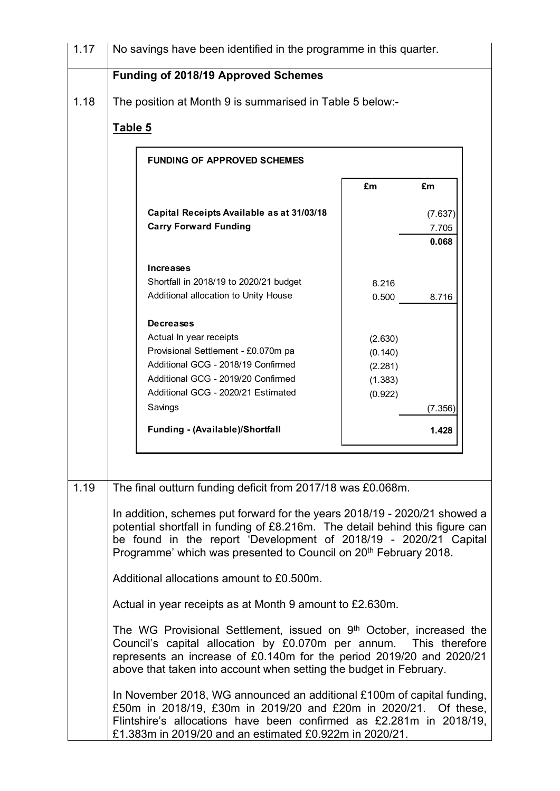| 1.17 | No savings have been identified in the programme in this quarter.                                                                                                                                                                                                                                             |                    |                |  |  |  |
|------|---------------------------------------------------------------------------------------------------------------------------------------------------------------------------------------------------------------------------------------------------------------------------------------------------------------|--------------------|----------------|--|--|--|
|      | <b>Funding of 2018/19 Approved Schemes</b>                                                                                                                                                                                                                                                                    |                    |                |  |  |  |
| 1.18 | The position at Month 9 is summarised in Table 5 below:-                                                                                                                                                                                                                                                      |                    |                |  |  |  |
|      | Table 5                                                                                                                                                                                                                                                                                                       |                    |                |  |  |  |
|      |                                                                                                                                                                                                                                                                                                               |                    |                |  |  |  |
|      | <b>FUNDING OF APPROVED SCHEMES</b>                                                                                                                                                                                                                                                                            |                    |                |  |  |  |
|      |                                                                                                                                                                                                                                                                                                               | £m                 | £m             |  |  |  |
|      | Capital Receipts Available as at 31/03/18                                                                                                                                                                                                                                                                     |                    | (7.637)        |  |  |  |
|      | <b>Carry Forward Funding</b>                                                                                                                                                                                                                                                                                  |                    | 7.705<br>0.068 |  |  |  |
|      |                                                                                                                                                                                                                                                                                                               |                    |                |  |  |  |
|      | <b>Increases</b>                                                                                                                                                                                                                                                                                              |                    |                |  |  |  |
|      | Shortfall in 2018/19 to 2020/21 budget<br>Additional allocation to Unity House                                                                                                                                                                                                                                | 8.216<br>0.500     | 8.716          |  |  |  |
|      |                                                                                                                                                                                                                                                                                                               |                    |                |  |  |  |
|      | <b>Decreases</b>                                                                                                                                                                                                                                                                                              |                    |                |  |  |  |
|      | Actual In year receipts<br>Provisional Settlement - £0.070m pa                                                                                                                                                                                                                                                | (2.630)            |                |  |  |  |
|      | Additional GCG - 2018/19 Confirmed                                                                                                                                                                                                                                                                            | (0.140)<br>(2.281) |                |  |  |  |
|      | Additional GCG - 2019/20 Confirmed                                                                                                                                                                                                                                                                            | (1.383)            |                |  |  |  |
|      | Additional GCG - 2020/21 Estimated                                                                                                                                                                                                                                                                            | (0.922)            |                |  |  |  |
|      | Savings                                                                                                                                                                                                                                                                                                       |                    | (7.356)        |  |  |  |
|      | Funding - (Available)/Shortfall                                                                                                                                                                                                                                                                               |                    | 1.428          |  |  |  |
|      |                                                                                                                                                                                                                                                                                                               |                    |                |  |  |  |
| 1.19 | The final outturn funding deficit from 2017/18 was £0.068m.                                                                                                                                                                                                                                                   |                    |                |  |  |  |
|      | In addition, schemes put forward for the years 2018/19 - 2020/21 showed a<br>potential shortfall in funding of £8.216m. The detail behind this figure can<br>be found in the report 'Development of 2018/19 - 2020/21 Capital<br>Programme' which was presented to Council on 20 <sup>th</sup> February 2018. |                    |                |  |  |  |
|      | Additional allocations amount to £0.500m.                                                                                                                                                                                                                                                                     |                    |                |  |  |  |
|      | Actual in year receipts as at Month 9 amount to £2.630m.                                                                                                                                                                                                                                                      |                    |                |  |  |  |
|      | The WG Provisional Settlement, issued on 9 <sup>th</sup> October, increased the<br>Council's capital allocation by £0.070m per annum. This therefore<br>represents an increase of £0.140m for the period 2019/20 and 2020/21<br>above that taken into account when setting the budget in February.            |                    |                |  |  |  |
|      | In November 2018, WG announced an additional £100m of capital funding,<br>£50m in 2018/19, £30m in 2019/20 and £20m in 2020/21. Of these,<br>Flintshire's allocations have been confirmed as £2.281m in 2018/19,<br>£1.383m in 2019/20 and an estimated £0.922m in 2020/21.                                   |                    |                |  |  |  |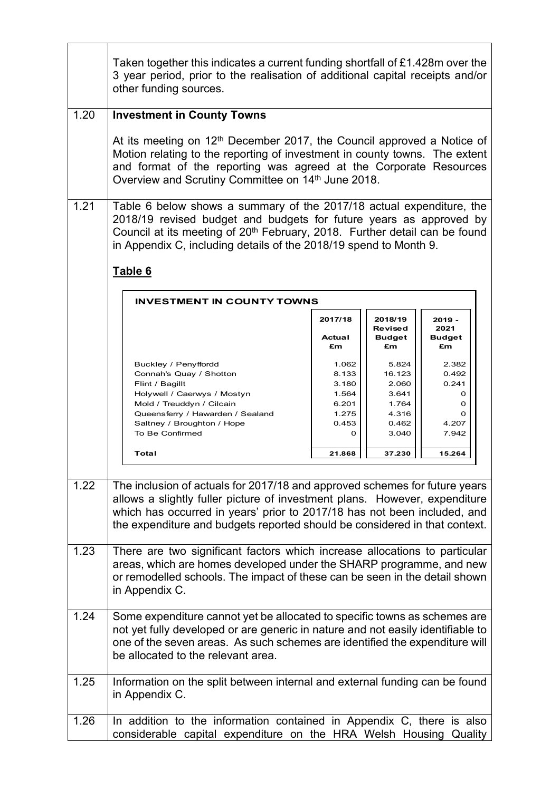|      | Taken together this indicates a current funding shortfall of £1.428m over the<br>3 year period, prior to the realisation of additional capital receipts and/or<br>other funding sources.                                                                                                                             |                                                                            |                                                                                 |                                                                    |  |  |
|------|----------------------------------------------------------------------------------------------------------------------------------------------------------------------------------------------------------------------------------------------------------------------------------------------------------------------|----------------------------------------------------------------------------|---------------------------------------------------------------------------------|--------------------------------------------------------------------|--|--|
| 1.20 | <b>Investment in County Towns</b>                                                                                                                                                                                                                                                                                    |                                                                            |                                                                                 |                                                                    |  |  |
|      | At its meeting on 12 <sup>th</sup> December 2017, the Council approved a Notice of<br>Motion relating to the reporting of investment in county towns. The extent<br>and format of the reporting was agreed at the Corporate Resources<br>Overview and Scrutiny Committee on 14th June 2018.                          |                                                                            |                                                                                 |                                                                    |  |  |
| 1.21 | Table 6 below shows a summary of the 2017/18 actual expenditure, the<br>2018/19 revised budget and budgets for future years as approved by<br>Council at its meeting of 20 <sup>th</sup> February, 2018. Further detail can be found<br>in Appendix C, including details of the 2018/19 spend to Month 9.<br>Table 6 |                                                                            |                                                                                 |                                                                    |  |  |
|      | <b>INVESTMENT IN COUNTY TOWNS</b>                                                                                                                                                                                                                                                                                    |                                                                            |                                                                                 |                                                                    |  |  |
|      |                                                                                                                                                                                                                                                                                                                      | 2017/18<br>Actual<br>£m                                                    | 2018/19<br><b>Revised</b><br><b>Budget</b><br>£m                                | $2019 -$<br>2021<br><b>Budget</b><br>£m                            |  |  |
|      | Buckley / Penyffordd<br>Connah's Quay / Shotton<br>Flint / Bagillt<br>Holywell / Caerwys / Mostyn<br>Mold / Treuddyn / Cilcain<br>Queensferry / Hawarden / Sealand<br>Saltney / Broughton / Hope<br>To Be Confirmed<br>Total                                                                                         | 1.062<br>8.133<br>3.180<br>1.564<br>6.201<br>1.275<br>0.453<br>0<br>21.868 | 5.824<br>16.123<br>2.060<br>3.641<br>1.764<br>4.316<br>0.462<br>3.040<br>37.230 | 2.382<br>0.492<br>0.241<br>0<br>0<br>Ω<br>4.207<br>7.942<br>15.264 |  |  |
| 1.22 | The inclusion of actuals for 2017/18 and approved schemes for future years<br>allows a slightly fuller picture of investment plans. However, expenditure<br>which has occurred in years' prior to 2017/18 has not been included, and<br>the expenditure and budgets reported should be considered in that context.   |                                                                            |                                                                                 |                                                                    |  |  |
| 1.23 | There are two significant factors which increase allocations to particular<br>areas, which are homes developed under the SHARP programme, and new<br>or remodelled schools. The impact of these can be seen in the detail shown<br>in Appendix C.                                                                    |                                                                            |                                                                                 |                                                                    |  |  |
| 1.24 | Some expenditure cannot yet be allocated to specific towns as schemes are<br>not yet fully developed or are generic in nature and not easily identifiable to<br>one of the seven areas. As such schemes are identified the expenditure will<br>be allocated to the relevant area.                                    |                                                                            |                                                                                 |                                                                    |  |  |
| 1.25 | Information on the split between internal and external funding can be found<br>in Appendix C.                                                                                                                                                                                                                        |                                                                            |                                                                                 |                                                                    |  |  |
| 1.26 | In addition to the information contained in Appendix C, there is also<br>considerable capital expenditure on the HRA Welsh Housing Quality                                                                                                                                                                           |                                                                            |                                                                                 |                                                                    |  |  |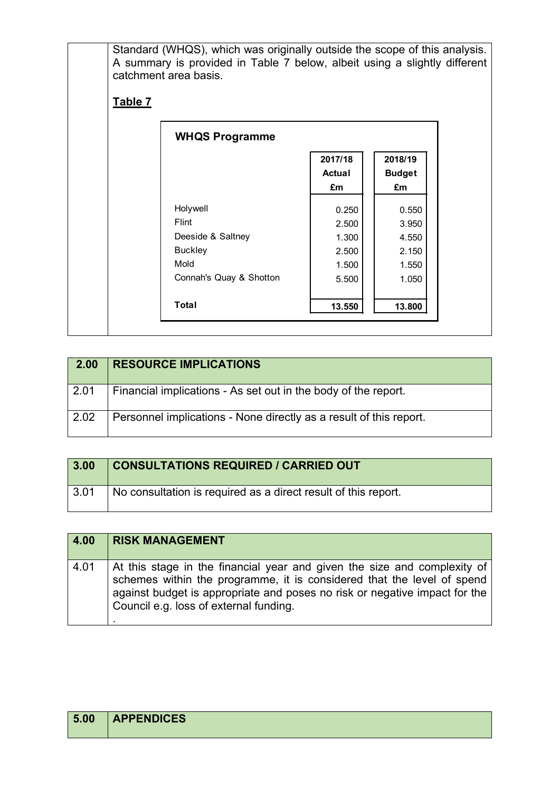Standard (WHQS), which was originally outside the scope of this analysis. A summary is provided in Table 7 below, albeit using a slightly different catchment area basis.

## **Table 7**

| <b>WHQS Programme</b>   |                                |                                |
|-------------------------|--------------------------------|--------------------------------|
|                         | 2017/18<br><b>Actual</b><br>£m | 2018/19<br><b>Budget</b><br>£m |
| Holywell                | 0.250                          | 0.550                          |
| Flint                   | 2.500                          | 3.950                          |
| Deeside & Saltney       | 1.300                          | 4.550                          |
| <b>Buckley</b>          | 2.500                          | 2.150                          |
| Mold                    | 1.500                          | 1.550                          |
| Connah's Quay & Shotton | 5.500                          | 1.050                          |
| <b>Total</b>            | 13.550                         | 13.800                         |

| 2.00 | <b>RESOURCE IMPLICATIONS</b>                                       |
|------|--------------------------------------------------------------------|
| 2.01 | Financial implications - As set out in the body of the report.     |
| 2.02 | Personnel implications - None directly as a result of this report. |

| 3.00         | <b>CONSULTATIONS REQUIRED / CARRIED OUT</b>                    |
|--------------|----------------------------------------------------------------|
| $\vert$ 3.01 | No consultation is required as a direct result of this report. |

| 4.00 | <b>RISK MANAGEMENT</b>                                                                                                                                                                                                                                                     |
|------|----------------------------------------------------------------------------------------------------------------------------------------------------------------------------------------------------------------------------------------------------------------------------|
| 4.01 | At this stage in the financial year and given the size and complexity of<br>schemes within the programme, it is considered that the level of spend<br>against budget is appropriate and poses no risk or negative impact for the<br>Council e.g. loss of external funding. |

| 5.00 | <b>APPENDICES</b> |
|------|-------------------|
|      |                   |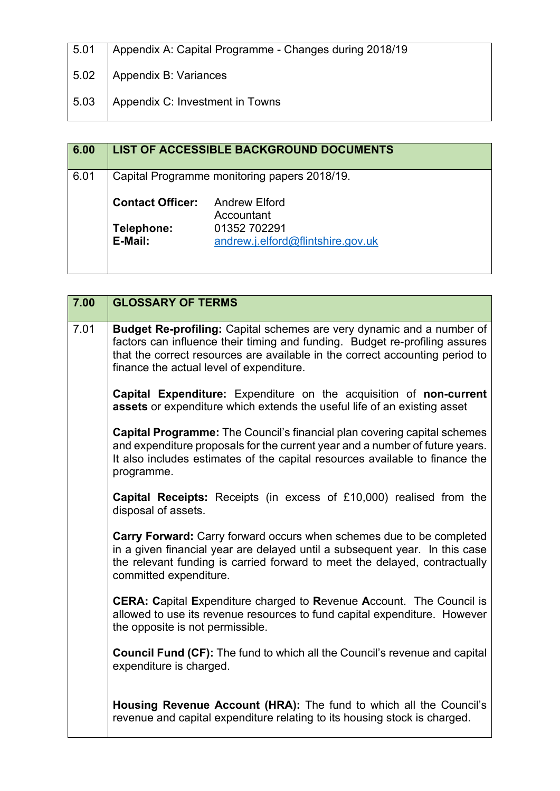| 5.01 | Appendix A: Capital Programme - Changes during 2018/19 |
|------|--------------------------------------------------------|
| 5.02 | Appendix B: Variances                                  |
| 5.03 | Appendix C: Investment in Towns                        |

| 6.00 |                                              | <b>LIST OF ACCESSIBLE BACKGROUND DOCUMENTS</b>    |
|------|----------------------------------------------|---------------------------------------------------|
| 6.01 | Capital Programme monitoring papers 2018/19. |                                                   |
|      | <b>Contact Officer:</b>                      | <b>Andrew Elford</b><br>Accountant                |
|      | Telephone:<br>E-Mail:                        | 01352 702291<br>andrew.j.elford@flintshire.gov.uk |
|      |                                              |                                                   |

| 7.00 | <b>GLOSSARY OF TERMS</b>                                                                                                                                                                                                                                                                |
|------|-----------------------------------------------------------------------------------------------------------------------------------------------------------------------------------------------------------------------------------------------------------------------------------------|
| 7.01 | <b>Budget Re-profiling:</b> Capital schemes are very dynamic and a number of<br>factors can influence their timing and funding. Budget re-profiling assures<br>that the correct resources are available in the correct accounting period to<br>finance the actual level of expenditure. |
|      | Capital Expenditure: Expenditure on the acquisition of non-current<br>assets or expenditure which extends the useful life of an existing asset                                                                                                                                          |
|      | <b>Capital Programme:</b> The Council's financial plan covering capital schemes<br>and expenditure proposals for the current year and a number of future years.<br>It also includes estimates of the capital resources available to finance the<br>programme.                           |
|      | <b>Capital Receipts:</b> Receipts (in excess of £10,000) realised from the<br>disposal of assets.                                                                                                                                                                                       |
|      | Carry Forward: Carry forward occurs when schemes due to be completed<br>in a given financial year are delayed until a subsequent year. In this case<br>the relevant funding is carried forward to meet the delayed, contractually<br>committed expenditure.                             |
|      | <b>CERA: Capital Expenditure charged to Revenue Account.</b> The Council is<br>allowed to use its revenue resources to fund capital expenditure. However<br>the opposite is not permissible.                                                                                            |
|      | <b>Council Fund (CF):</b> The fund to which all the Council's revenue and capital<br>expenditure is charged.                                                                                                                                                                            |
|      | Housing Revenue Account (HRA): The fund to which all the Council's<br>revenue and capital expenditure relating to its housing stock is charged.                                                                                                                                         |